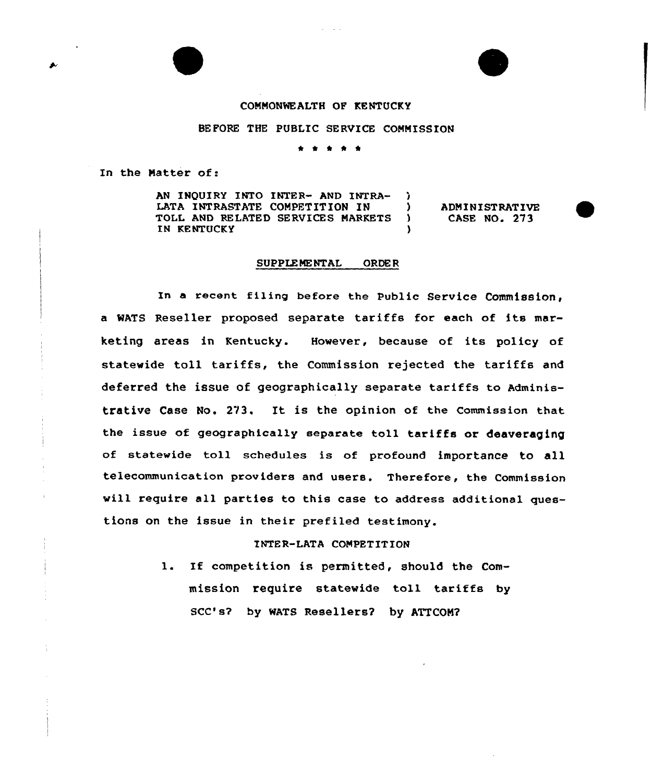### COMMONWEALTH OF KENTUCKY

#### BEFORE THE PUBLIC SERVICE COMMISSION

\* \* \* \* \*

In the Matter of:

AN INQUIRY INTO INTER- AND INTRA- )<br>LATA INTRASTATE COMPETITION IN LATA INTRASTATE COMPETITION IN (ADMINISTRATIVE TOLL AND RELATED SERVICES MARKETS ) CASE NO. 273 TOLL AND RELATED SERVICES MARKETS )<br>IN KENTUCKY IN KENTUCKY

#### SUPPLE ME NTAL ORDE R

In a recent filing before the Public Service Commission, a WATS Reseller proposed separate tariffs for each of its marketing areas in Kentucky. However, because of its policy of statewide toll tariffs, the Commission rejected the tariffs and deferred the issue of geographically separate tariffs to Administrative Case No. 273. It is the opinion of the Commission that the issue of geographically separate toll tariffs or deaveraging of statewide toll schedules is of profound importance to all telecommunication providers and users. Therefore, the Commission will require all parties to this case to address additional questions on the issue in their prefiled testimony.

## INTER-LATA COMPET ITION

l. If competition is permitted, should the Commission require statewide toll tariffs by SCC's? by WATS Resellers? by ATTCOM?